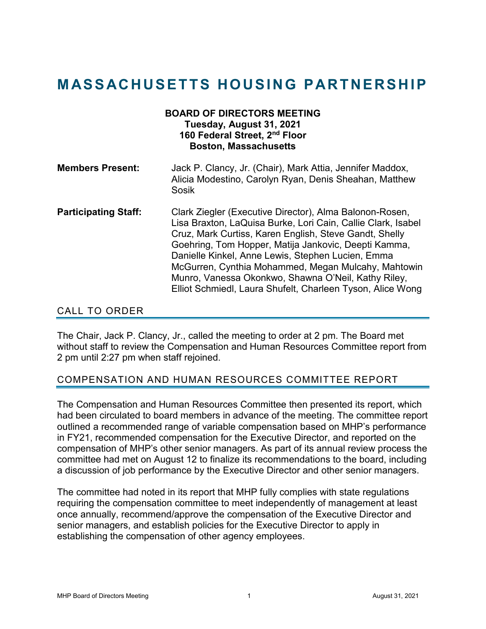# **MASSACHUSETTS HOUSING PARTNERSHIP**

| <b>BOARD OF DIRECTORS MEETING</b><br>Tuesday, August 31, 2021<br>160 Federal Street, 2nd Floor<br><b>Boston, Massachusetts</b> |                                                                                                                                                                                                                                                                                                                                                                                                                                                                            |
|--------------------------------------------------------------------------------------------------------------------------------|----------------------------------------------------------------------------------------------------------------------------------------------------------------------------------------------------------------------------------------------------------------------------------------------------------------------------------------------------------------------------------------------------------------------------------------------------------------------------|
| <b>Members Present:</b>                                                                                                        | Jack P. Clancy, Jr. (Chair), Mark Attia, Jennifer Maddox,<br>Alicia Modestino, Carolyn Ryan, Denis Sheahan, Matthew<br>Sosik                                                                                                                                                                                                                                                                                                                                               |
| <b>Participating Staff:</b>                                                                                                    | Clark Ziegler (Executive Director), Alma Balonon-Rosen,<br>Lisa Braxton, LaQuisa Burke, Lori Cain, Callie Clark, Isabel<br>Cruz, Mark Curtiss, Karen English, Steve Gandt, Shelly<br>Goehring, Tom Hopper, Matija Jankovic, Deepti Kamma,<br>Danielle Kinkel, Anne Lewis, Stephen Lucien, Emma<br>McGurren, Cynthia Mohammed, Megan Mulcahy, Mahtowin<br>Munro, Vanessa Okonkwo, Shawna O'Neil, Kathy Riley,<br>Elliot Schmiedl, Laura Shufelt, Charleen Tyson, Alice Wong |

## CALL TO ORDER

The Chair, Jack P. Clancy, Jr., called the meeting to order at 2 pm. The Board met without staff to review the Compensation and Human Resources Committee report from 2 pm until 2:27 pm when staff rejoined.

## COMPENSATION AND HUMAN RESOURCES COMMITTEE REPORT

The Compensation and Human Resources Committee then presented its report, which had been circulated to board members in advance of the meeting. The committee report outlined a recommended range of variable compensation based on MHP's performance in FY21, recommended compensation for the Executive Director, and reported on the compensation of MHP's other senior managers. As part of its annual review process the committee had met on August 12 to finalize its recommendations to the board, including a discussion of job performance by the Executive Director and other senior managers.

The committee had noted in its report that MHP fully complies with state regulations requiring the compensation committee to meet independently of management at least once annually, recommend/approve the compensation of the Executive Director and senior managers, and establish policies for the Executive Director to apply in establishing the compensation of other agency employees.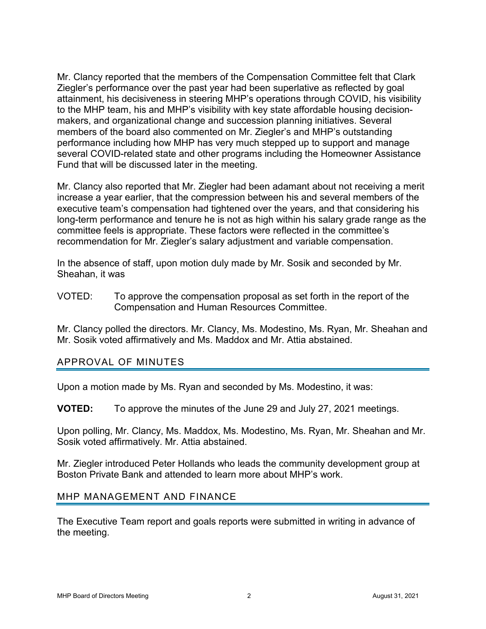Mr. Clancy reported that the members of the Compensation Committee felt that Clark Ziegler's performance over the past year had been superlative as reflected by goal attainment, his decisiveness in steering MHP's operations through COVID, his visibility to the MHP team, his and MHP's visibility with key state affordable housing decisionmakers, and organizational change and succession planning initiatives. Several members of the board also commented on Mr. Ziegler's and MHP's outstanding performance including how MHP has very much stepped up to support and manage several COVID-related state and other programs including the Homeowner Assistance Fund that will be discussed later in the meeting.

Mr. Clancy also reported that Mr. Ziegler had been adamant about not receiving a merit increase a year earlier, that the compression between his and several members of the executive team's compensation had tightened over the years, and that considering his long-term performance and tenure he is not as high within his salary grade range as the committee feels is appropriate. These factors were reflected in the committee's recommendation for Mr. Ziegler's salary adjustment and variable compensation.

In the absence of staff, upon motion duly made by Mr. Sosik and seconded by Mr. Sheahan, it was

VOTED: To approve the compensation proposal as set forth in the report of the Compensation and Human Resources Committee.

Mr. Clancy polled the directors. Mr. Clancy, Ms. Modestino, Ms. Ryan, Mr. Sheahan and Mr. Sosik voted affirmatively and Ms. Maddox and Mr. Attia abstained.

## APPROVAL OF MINUTES

Upon a motion made by Ms. Ryan and seconded by Ms. Modestino, it was:

**VOTED:** To approve the minutes of the June 29 and July 27, 2021 meetings.

Upon polling, Mr. Clancy, Ms. Maddox, Ms. Modestino, Ms. Ryan, Mr. Sheahan and Mr. Sosik voted affirmatively. Mr. Attia abstained.

Mr. Ziegler introduced Peter Hollands who leads the community development group at Boston Private Bank and attended to learn more about MHP's work.

#### MHP MANAGEMENT AND FINANCE

The Executive Team report and goals reports were submitted in writing in advance of the meeting.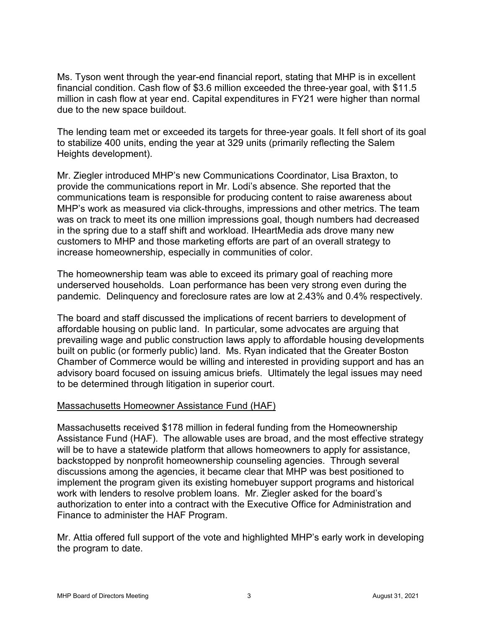Ms. Tyson went through the year-end financial report, stating that MHP is in excellent financial condition. Cash flow of \$3.6 million exceeded the three-year goal, with \$11.5 million in cash flow at year end. Capital expenditures in FY21 were higher than normal due to the new space buildout.

The lending team met or exceeded its targets for three-year goals. It fell short of its goal to stabilize 400 units, ending the year at 329 units (primarily reflecting the Salem Heights development).

Mr. Ziegler introduced MHP's new Communications Coordinator, Lisa Braxton, to provide the communications report in Mr. Lodi's absence. She reported that the communications team is responsible for producing content to raise awareness about MHP's work as measured via click-throughs, impressions and other metrics. The team was on track to meet its one million impressions goal, though numbers had decreased in the spring due to a staff shift and workload. IHeartMedia ads drove many new customers to MHP and those marketing efforts are part of an overall strategy to increase homeownership, especially in communities of color.

The homeownership team was able to exceed its primary goal of reaching more underserved households. Loan performance has been very strong even during the pandemic. Delinquency and foreclosure rates are low at 2.43% and 0.4% respectively.

The board and staff discussed the implications of recent barriers to development of affordable housing on public land. In particular, some advocates are arguing that prevailing wage and public construction laws apply to affordable housing developments built on public (or formerly public) land. Ms. Ryan indicated that the Greater Boston Chamber of Commerce would be willing and interested in providing support and has an advisory board focused on issuing amicus briefs. Ultimately the legal issues may need to be determined through litigation in superior court.

## Massachusetts Homeowner Assistance Fund (HAF)

Massachusetts received \$178 million in federal funding from the Homeownership Assistance Fund (HAF). The allowable uses are broad, and the most effective strategy will be to have a statewide platform that allows homeowners to apply for assistance, backstopped by nonprofit homeownership counseling agencies. Through several discussions among the agencies, it became clear that MHP was best positioned to implement the program given its existing homebuyer support programs and historical work with lenders to resolve problem loans. Mr. Ziegler asked for the board's authorization to enter into a contract with the Executive Office for Administration and Finance to administer the HAF Program.

Mr. Attia offered full support of the vote and highlighted MHP's early work in developing the program to date.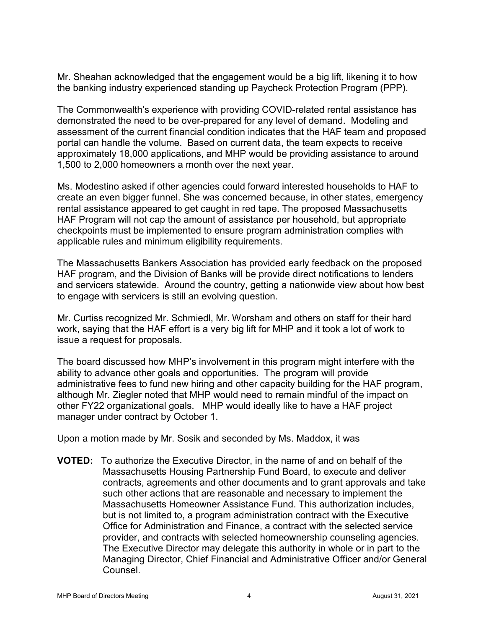Mr. Sheahan acknowledged that the engagement would be a big lift, likening it to how the banking industry experienced standing up Paycheck Protection Program (PPP).

The Commonwealth's experience with providing COVID-related rental assistance has demonstrated the need to be over-prepared for any level of demand. Modeling and assessment of the current financial condition indicates that the HAF team and proposed portal can handle the volume. Based on current data, the team expects to receive approximately 18,000 applications, and MHP would be providing assistance to around 1,500 to 2,000 homeowners a month over the next year.

Ms. Modestino asked if other agencies could forward interested households to HAF to create an even bigger funnel. She was concerned because, in other states, emergency rental assistance appeared to get caught in red tape. The proposed Massachusetts HAF Program will not cap the amount of assistance per household, but appropriate checkpoints must be implemented to ensure program administration complies with applicable rules and minimum eligibility requirements.

The Massachusetts Bankers Association has provided early feedback on the proposed HAF program, and the Division of Banks will be provide direct notifications to lenders and servicers statewide. Around the country, getting a nationwide view about how best to engage with servicers is still an evolving question.

Mr. Curtiss recognized Mr. Schmiedl, Mr. Worsham and others on staff for their hard work, saying that the HAF effort is a very big lift for MHP and it took a lot of work to issue a request for proposals.

The board discussed how MHP's involvement in this program might interfere with the ability to advance other goals and opportunities. The program will provide administrative fees to fund new hiring and other capacity building for the HAF program, although Mr. Ziegler noted that MHP would need to remain mindful of the impact on other FY22 organizational goals. MHP would ideally like to have a HAF project manager under contract by October 1.

Upon a motion made by Mr. Sosik and seconded by Ms. Maddox, it was

**VOTED:** To authorize the Executive Director, in the name of and on behalf of the Massachusetts Housing Partnership Fund Board, to execute and deliver contracts, agreements and other documents and to grant approvals and take such other actions that are reasonable and necessary to implement the Massachusetts Homeowner Assistance Fund. This authorization includes, but is not limited to, a program administration contract with the Executive Office for Administration and Finance, a contract with the selected service provider, and contracts with selected homeownership counseling agencies. The Executive Director may delegate this authority in whole or in part to the Managing Director, Chief Financial and Administrative Officer and/or General Counsel.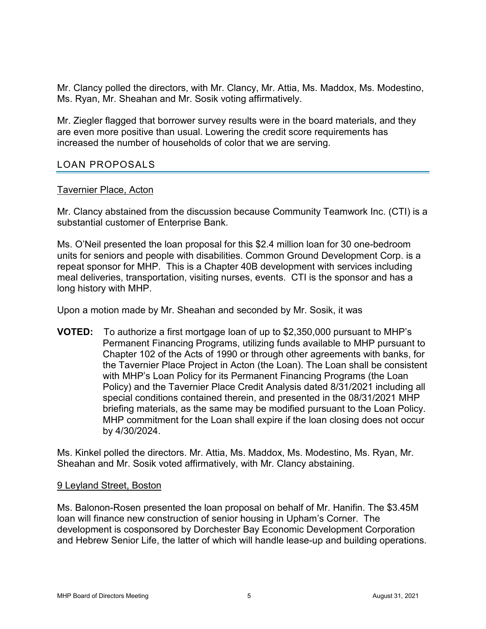Mr. Clancy polled the directors, with Mr. Clancy, Mr. Attia, Ms. Maddox, Ms. Modestino, Ms. Ryan, Mr. Sheahan and Mr. Sosik voting affirmatively.

Mr. Ziegler flagged that borrower survey results were in the board materials, and they are even more positive than usual. Lowering the credit score requirements has increased the number of households of color that we are serving.

## LOAN PROPOSALS

#### Tavernier Place, Acton

Mr. Clancy abstained from the discussion because Community Teamwork Inc. (CTI) is a substantial customer of Enterprise Bank.

Ms. O'Neil presented the loan proposal for this \$2.4 million loan for 30 one-bedroom units for seniors and people with disabilities. Common Ground Development Corp. is a repeat sponsor for MHP. This is a Chapter 40B development with services including meal deliveries, transportation, visiting nurses, events. CTI is the sponsor and has a long history with MHP.

Upon a motion made by Mr. Sheahan and seconded by Mr. Sosik, it was

**VOTED:** To authorize a first mortgage loan of up to \$2,350,000 pursuant to MHP's Permanent Financing Programs, utilizing funds available to MHP pursuant to Chapter 102 of the Acts of 1990 or through other agreements with banks, for the Tavernier Place Project in Acton (the Loan). The Loan shall be consistent with MHP's Loan Policy for its Permanent Financing Programs (the Loan Policy) and the Tavernier Place Credit Analysis dated 8/31/2021 including all special conditions contained therein, and presented in the 08/31/2021 MHP briefing materials, as the same may be modified pursuant to the Loan Policy. MHP commitment for the Loan shall expire if the loan closing does not occur by 4/30/2024.

Ms. Kinkel polled the directors. Mr. Attia, Ms. Maddox, Ms. Modestino, Ms. Ryan, Mr. Sheahan and Mr. Sosik voted affirmatively, with Mr. Clancy abstaining.

#### 9 Leyland Street, Boston

Ms. Balonon-Rosen presented the loan proposal on behalf of Mr. Hanifin. The \$3.45M loan will finance new construction of senior housing in Upham's Corner. The development is cosponsored by Dorchester Bay Economic Development Corporation and Hebrew Senior Life, the latter of which will handle lease-up and building operations.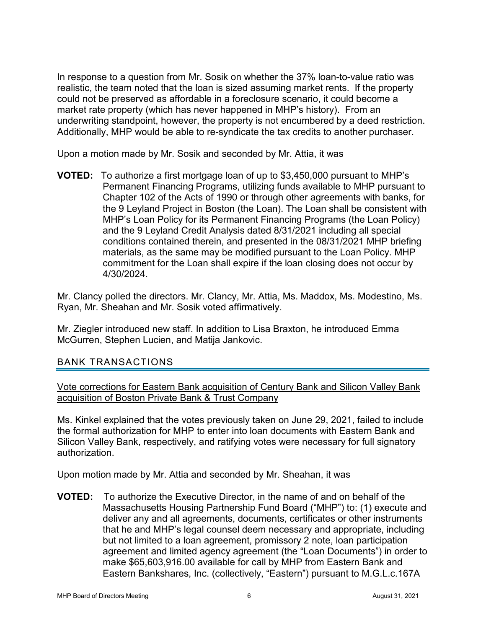In response to a question from Mr. Sosik on whether the 37% loan-to-value ratio was realistic, the team noted that the loan is sized assuming market rents. If the property could not be preserved as affordable in a foreclosure scenario, it could become a market rate property (which has never happened in MHP's history). From an underwriting standpoint, however, the property is not encumbered by a deed restriction. Additionally, MHP would be able to re-syndicate the tax credits to another purchaser.

Upon a motion made by Mr. Sosik and seconded by Mr. Attia, it was

**VOTED:** To authorize a first mortgage loan of up to \$3,450,000 pursuant to MHP's Permanent Financing Programs, utilizing funds available to MHP pursuant to Chapter 102 of the Acts of 1990 or through other agreements with banks, for the 9 Leyland Project in Boston (the Loan). The Loan shall be consistent with MHP's Loan Policy for its Permanent Financing Programs (the Loan Policy) and the 9 Leyland Credit Analysis dated 8/31/2021 including all special conditions contained therein, and presented in the 08/31/2021 MHP briefing materials, as the same may be modified pursuant to the Loan Policy. MHP commitment for the Loan shall expire if the loan closing does not occur by 4/30/2024.

Mr. Clancy polled the directors. Mr. Clancy, Mr. Attia, Ms. Maddox, Ms. Modestino, Ms. Ryan, Mr. Sheahan and Mr. Sosik voted affirmatively.

Mr. Ziegler introduced new staff. In addition to Lisa Braxton, he introduced Emma McGurren, Stephen Lucien, and Matija Jankovic.

## BANK TRANSACTIONS

Vote corrections for Eastern Bank acquisition of Century Bank and Silicon Valley Bank acquisition of Boston Private Bank & Trust Company

Ms. Kinkel explained that the votes previously taken on June 29, 2021, failed to include the formal authorization for MHP to enter into loan documents with Eastern Bank and Silicon Valley Bank, respectively, and ratifying votes were necessary for full signatory authorization.

Upon motion made by Mr. Attia and seconded by Mr. Sheahan, it was

**VOTED:** To authorize the Executive Director, in the name of and on behalf of the Massachusetts Housing Partnership Fund Board ("MHP") to: (1) execute and deliver any and all agreements, documents, certificates or other instruments that he and MHP's legal counsel deem necessary and appropriate, including but not limited to a loan agreement, promissory 2 note, loan participation agreement and limited agency agreement (the "Loan Documents") in order to make \$65,603,916.00 available for call by MHP from Eastern Bank and Eastern Bankshares, Inc. (collectively, "Eastern") pursuant to M.G.L.c.167A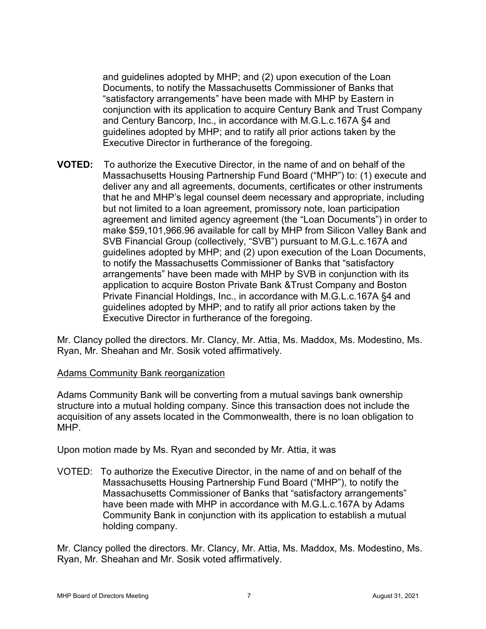and guidelines adopted by MHP; and (2) upon execution of the Loan Documents, to notify the Massachusetts Commissioner of Banks that "satisfactory arrangements" have been made with MHP by Eastern in conjunction with its application to acquire Century Bank and Trust Company and Century Bancorp, Inc., in accordance with M.G.L.c.167A §4 and guidelines adopted by MHP; and to ratify all prior actions taken by the Executive Director in furtherance of the foregoing.

**VOTED:** To authorize the Executive Director, in the name of and on behalf of the Massachusetts Housing Partnership Fund Board ("MHP") to: (1) execute and deliver any and all agreements, documents, certificates or other instruments that he and MHP's legal counsel deem necessary and appropriate, including but not limited to a loan agreement, promissory note, loan participation agreement and limited agency agreement (the "Loan Documents") in order to make \$59,101,966.96 available for call by MHP from Silicon Valley Bank and SVB Financial Group (collectively, "SVB") pursuant to M.G.L.c.167A and guidelines adopted by MHP; and (2) upon execution of the Loan Documents, to notify the Massachusetts Commissioner of Banks that "satisfactory arrangements" have been made with MHP by SVB in conjunction with its application to acquire Boston Private Bank &Trust Company and Boston Private Financial Holdings, Inc., in accordance with M.G.L.c.167A §4 and guidelines adopted by MHP; and to ratify all prior actions taken by the Executive Director in furtherance of the foregoing.

Mr. Clancy polled the directors. Mr. Clancy, Mr. Attia, Ms. Maddox, Ms. Modestino, Ms. Ryan, Mr. Sheahan and Mr. Sosik voted affirmatively.

## Adams Community Bank reorganization

Adams Community Bank will be converting from a mutual savings bank ownership structure into a mutual holding company. Since this transaction does not include the acquisition of any assets located in the Commonwealth, there is no loan obligation to MHP.

Upon motion made by Ms. Ryan and seconded by Mr. Attia, it was

VOTED: To authorize the Executive Director, in the name of and on behalf of the Massachusetts Housing Partnership Fund Board ("MHP"), to notify the Massachusetts Commissioner of Banks that "satisfactory arrangements" have been made with MHP in accordance with M.G.L.c.167A by Adams Community Bank in conjunction with its application to establish a mutual holding company.

Mr. Clancy polled the directors. Mr. Clancy, Mr. Attia, Ms. Maddox, Ms. Modestino, Ms. Ryan, Mr. Sheahan and Mr. Sosik voted affirmatively.